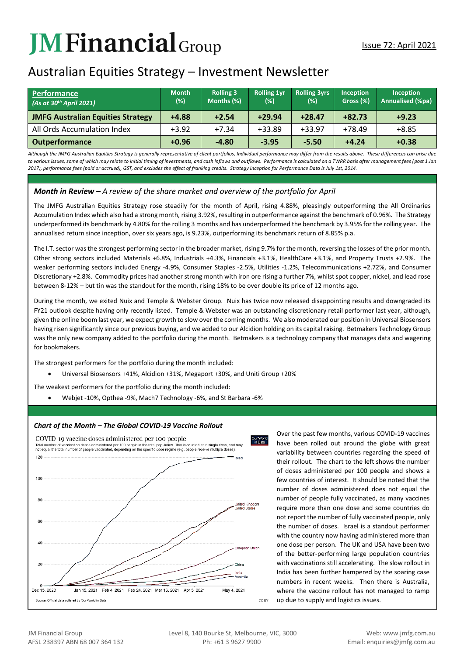# **JMFinancial**Group

# Australian Equities Strategy – Investment Newsletter

| <b>Performance</b><br>(As at 30 <sup>th</sup> April 2021) | <b>Month</b><br>$(\%)$ | <b>Rolling 3</b><br>Months (%) | <b>Rolling 1yr</b><br>(%) | <b>Rolling 3yrs</b><br>(%) | <b>Inception</b><br>Gross (%) | <b>Inception</b><br>Annualised (%pa) |
|-----------------------------------------------------------|------------------------|--------------------------------|---------------------------|----------------------------|-------------------------------|--------------------------------------|
| <b>JMFG Australian Equities Strategy</b>                  | $+4.88$                | $+2.54$                        | $+29.94$                  | $+28.47$                   | $+82.73$                      | $+9.23$                              |
| All Ords Accumulation Index                               | $+3.92$                | $+7.34$                        | $+33.89$                  | $+33.97$                   | $+78.49$                      | $+8.85$                              |
| <b>Outperformance</b>                                     | $+0.96$                | $-4.80$                        | $-3.95$                   | $-5.50$                    | $+4.24$                       | $+0.38$                              |

*Although the JMFG Australian Equities Strategy is generally representative of client portfolios, Individual performance may differ from the results above. These differences can arise due*  to various issues, some of which may relate to initial timing of investments, and cash inflows and outflows. Performance is calculated on a TWRR basis after management fees (post 1 Jan *2017), performance fees (paid or accrued), GST, and excludes the effect of franking credits. Strategy Inception for Performance Data is July 1st, 2014.*

## *Month in Review – A review of the share market and overview of the portfolio for April*

The JMFG Australian Equities Strategy rose steadily for the month of April, rising 4.88%, pleasingly outperforming the All Ordinaries Accumulation Index which also had a strong month, rising 3.92%, resulting in outperformance against the benchmark of 0.96%. The Strategy underperformed its benchmark by 4.80% for the rolling 3 months and has underperformed the benchmark by 3.95% for the rolling year. The annualised return since inception, over six years ago, is 9.23%, outperforming its benchmark return of 8.85% p.a.

The I.T. sector was the strongest performing sector in the broader market, rising 9.7% for the month, reversing the losses of the prior month. Other strong sectors included Materials +6.8%, Industrials +4.3%, Financials +3.1%, HealthCare +3.1%, and Property Trusts +2.9%. The weaker performing sectors included Energy -4.9%, Consumer Staples -2.5%, Utilities -1.2%, Telecommunications +2.72%, and Consumer Discretionary +2.8%. Commodity prices had another strong month with iron ore rising a further 7%, whilst spot copper, nickel, and lead rose between 8-12% – but tin was the standout for the month, rising 18% to be over double its price of 12 months ago.

During the month, we exited Nuix and Temple & Webster Group. Nuix has twice now released disappointing results and downgraded its FY21 outlook despite having only recently listed. Temple & Webster was an outstanding discretionary retail performer last year, although, given the online boom last year, we expect growth to slow over the coming months. We also moderated our position in Universal Biosensors having risen significantly since our previous buying, and we added to our Alcidion holding on its capital raising. Betmakers Technology Group was the only new company added to the portfolio during the month. Betmakers is a technology company that manages data and wagering for bookmakers.

The strongest performers for the portfolio during the month included:

Universal Biosensors +41%, Alcidion +31%, Megaport +30%, and Uniti Group +20%

The weakest performers for the portfolio during the month included:

Webjet -10%, Opthea -9%, Mach7 Technology -6%, and St Barbara -6%

#### *Chart of the Month – The Global COVID-19 Vaccine Rollout*



Over the past few months, various COVID-19 vaccines have been rolled out around the globe with great variability between countries regarding the speed of their rollout. The chart to the left shows the number of doses administered per 100 people and shows a few countries of interest. It should be noted that the number of doses administered does not equal the number of people fully vaccinated, as many vaccines require more than one dose and some countries do not report the number of fully vaccinated people, only the number of doses. Israel is a standout performer with the country now having administered more than one dose per person. The UK and USA have been two of the better-performing large population countries with vaccinations still accelerating. The slow rollout in India has been further hampered by the soaring case numbers in recent weeks. Then there is Australia, where the vaccine rollout has not managed to ramp up due to supply and logistics issues.